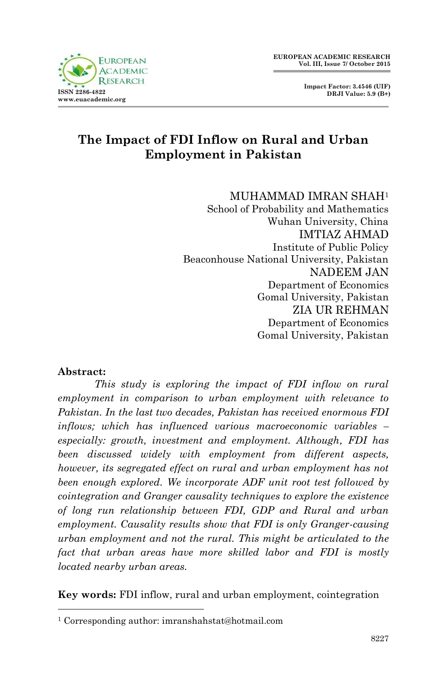



# **The Impact of FDI Inflow on Rural and Urban Employment in Pakistan**

#### MUHAMMAD IMRAN SHAH<sup>1</sup>

School of Probability and Mathematics Wuhan University, China IMTIAZ AHMAD Institute of Public Policy Beaconhouse National University, Pakistan NADEEM JAN Department of Economics Gomal University, Pakistan ZIA UR REHMAN Department of Economics Gomal University, Pakistan

## **Abstract:**

1

*This study is exploring the impact of FDI inflow on rural employment in comparison to urban employment with relevance to Pakistan. In the last two decades, Pakistan has received enormous FDI inflows; which has influenced various macroeconomic variables – especially: growth, investment and employment. Although, FDI has been discussed widely with employment from different aspects, however, its segregated effect on rural and urban employment has not been enough explored. We incorporate ADF unit root test followed by cointegration and Granger causality techniques to explore the existence of long run relationship between FDI, GDP and Rural and urban employment. Causality results show that FDI is only Granger-causing urban employment and not the rural. This might be articulated to the fact that urban areas have more skilled labor and FDI is mostly located nearby urban areas.*

**Key words:** FDI inflow, rural and urban employment, cointegration

<sup>1</sup> Corresponding author: imranshahstat@hotmail.com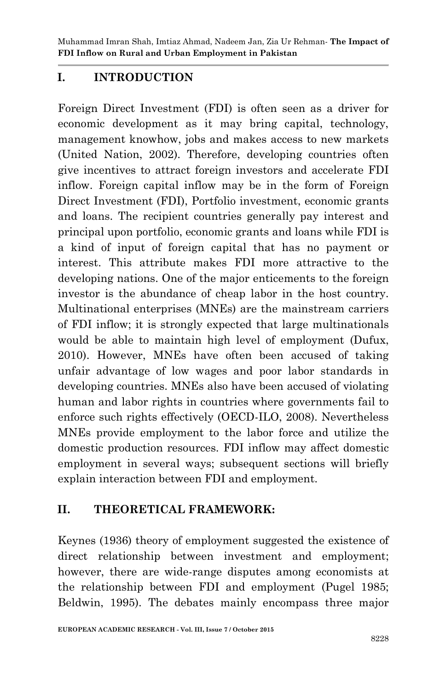Muhammad Imran Shah, Imtiaz Ahmad, Nadeem Jan, Zia Ur Rehman*-* **The Impact of FDI Inflow on Rural and Urban Employment in Pakistan**

# **I. INTRODUCTION**

Foreign Direct Investment (FDI) is often seen as a driver for economic development as it may bring capital, technology, management knowhow, jobs and makes access to new markets (United Nation, 2002). Therefore, developing countries often give incentives to attract foreign investors and accelerate FDI inflow. Foreign capital inflow may be in the form of Foreign Direct Investment (FDI), Portfolio investment, economic grants and loans. The recipient countries generally pay interest and principal upon portfolio, economic grants and loans while FDI is a kind of input of foreign capital that has no payment or interest. This attribute makes FDI more attractive to the developing nations. One of the major enticements to the foreign investor is the abundance of cheap labor in the host country. Multinational enterprises (MNEs) are the mainstream carriers of FDI inflow; it is strongly expected that large multinationals would be able to maintain high level of employment (Dufux, 2010). However, MNEs have often been accused of taking unfair advantage of low wages and poor labor standards in developing countries. MNEs also have been accused of violating human and labor rights in countries where governments fail to enforce such rights effectively (OECD-ILO, 2008). Nevertheless MNEs provide employment to the labor force and utilize the domestic production resources. FDI inflow may affect domestic employment in several ways; subsequent sections will briefly explain interaction between FDI and employment.

# **II. THEORETICAL FRAMEWORK:**

Keynes (1936) theory of employment suggested the existence of direct relationship between investment and employment; however, there are wide-range disputes among economists at the relationship between FDI and employment (Pugel 1985; Beldwin, 1995). The debates mainly encompass three major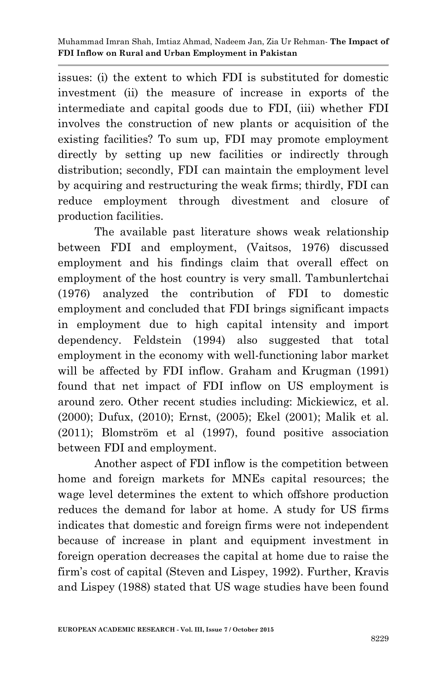issues: (i) the extent to which FDI is substituted for domestic investment (ii) the measure of increase in exports of the intermediate and capital goods due to FDI, (iii) whether FDI involves the construction of new plants or acquisition of the existing facilities? To sum up, FDI may promote employment directly by setting up new facilities or indirectly through distribution; secondly, FDI can maintain the employment level by acquiring and restructuring the weak firms; thirdly, FDI can reduce employment through divestment and closure of production facilities.

The available past literature shows weak relationship between FDI and employment, (Vaitsos, 1976) discussed employment and his findings claim that overall effect on employment of the host country is very small. Tambunlertchai (1976) analyzed the contribution of FDI to domestic employment and concluded that FDI brings significant impacts in employment due to high capital intensity and import dependency. Feldstein (1994) also suggested that total employment in the economy with well-functioning labor market will be affected by FDI inflow. Graham and Krugman (1991) found that net impact of FDI inflow on US employment is around zero. Other recent studies including: Mickiewicz, et al. (2000); Dufux, (2010); Ernst, (2005); Ekel (2001); Malik et al. (2011); Blomström et al (1997), found positive association between FDI and employment.

Another aspect of FDI inflow is the competition between home and foreign markets for MNEs capital resources; the wage level determines the extent to which offshore production reduces the demand for labor at home. A study for US firms indicates that domestic and foreign firms were not independent because of increase in plant and equipment investment in foreign operation decreases the capital at home due to raise the firm's cost of capital (Steven and Lispey, 1992). Further, Kravis and Lispey (1988) stated that US wage studies have been found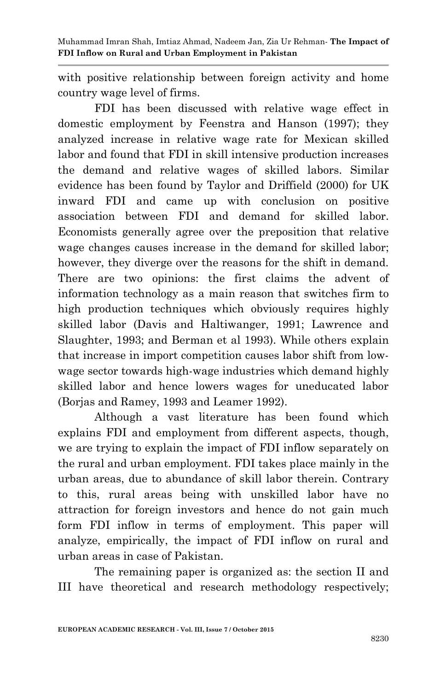with positive relationship between foreign activity and home country wage level of firms.

FDI has been discussed with relative wage effect in domestic employment by Feenstra and Hanson (1997); they analyzed increase in relative wage rate for Mexican skilled labor and found that FDI in skill intensive production increases the demand and relative wages of skilled labors. Similar evidence has been found by Taylor and Driffield (2000) for UK inward FDI and came up with conclusion on positive association between FDI and demand for skilled labor. Economists generally agree over the preposition that relative wage changes causes increase in the demand for skilled labor; however, they diverge over the reasons for the shift in demand. There are two opinions: the first claims the advent of information technology as a main reason that switches firm to high production techniques which obviously requires highly skilled labor (Davis and Haltiwanger, 1991; Lawrence and Slaughter, 1993; and Berman et al 1993). While others explain that increase in import competition causes labor shift from lowwage sector towards high-wage industries which demand highly skilled labor and hence lowers wages for uneducated labor (Borjas and Ramey, 1993 and Leamer 1992).

Although a vast literature has been found which explains FDI and employment from different aspects, though, we are trying to explain the impact of FDI inflow separately on the rural and urban employment. FDI takes place mainly in the urban areas, due to abundance of skill labor therein. Contrary to this, rural areas being with unskilled labor have no attraction for foreign investors and hence do not gain much form FDI inflow in terms of employment. This paper will analyze, empirically, the impact of FDI inflow on rural and urban areas in case of Pakistan.

The remaining paper is organized as: the section II and III have theoretical and research methodology respectively;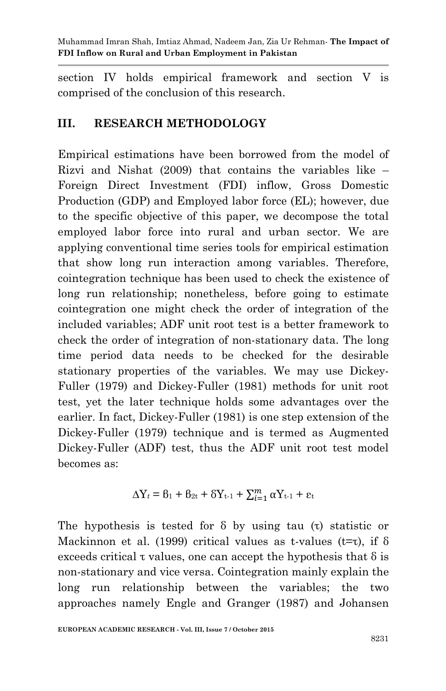section IV holds empirical framework and section V is comprised of the conclusion of this research.

# **III. RESEARCH METHODOLOGY**

Empirical estimations have been borrowed from the model of Rizvi and Nishat (2009) that contains the variables like – Foreign Direct Investment (FDI) inflow, Gross Domestic Production (GDP) and Employed labor force (EL); however, due to the specific objective of this paper, we decompose the total employed labor force into rural and urban sector. We are applying conventional time series tools for empirical estimation that show long run interaction among variables. Therefore, cointegration technique has been used to check the existence of long run relationship; nonetheless, before going to estimate cointegration one might check the order of integration of the included variables; ADF unit root test is a better framework to check the order of integration of non-stationary data. The long time period data needs to be checked for the desirable stationary properties of the variables. We may use Dickey-Fuller (1979) and Dickey-Fuller (1981) methods for unit root test, yet the later technique holds some advantages over the earlier. In fact, Dickey-Fuller (1981) is one step extension of the Dickey-Fuller (1979) technique and is termed as Augmented Dickey-Fuller (ADF) test, thus the ADF unit root test model becomes as:

$$
\Delta Y_t = \beta_1 + \beta_{2t} + \delta Y_{t-1} + \sum_{i=1}^m \alpha Y_{t-1} + \varepsilon_t
$$

The hypothesis is tested for δ by using tau (τ) statistic or Mackinnon et al. (1999) critical values as t-values ( $t=t$ ), if  $\delta$ exceeds critical  $\tau$  values, one can accept the hypothesis that  $\delta$  is non-stationary and vice versa. Cointegration mainly explain the long run relationship between the variables; the two approaches namely Engle and Granger (1987) and Johansen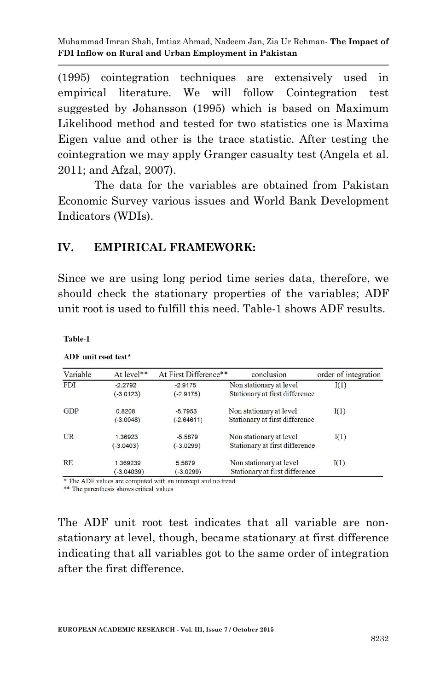(1995) cointegration techniques are extensively used in empirical literature. We will follow Cointegration test suggested by Johansson (1995) which is based on Maximum Likelihood method and tested for two statistics one is Maxima Eigen value and other is the trace statistic. After testing the cointegration we may apply Granger casualty test (Angela et al. 2011; and Afzal, 2007).

The data for the variables are obtained from Pakistan Economic Survey various issues and World Bank Development Indicators (WDIs).

## **IV. EMPIRICAL FRAMEWORK:**

Since we are using long period time series data, therefore, we should check the stationary properties of the variables; ADF unit root is used to fulfill this need. Table-1 shows ADF results.

Table-1

| Variable   | At level**   | At First Difference** | conclusion                     | order of integration |
|------------|--------------|-----------------------|--------------------------------|----------------------|
| <b>FDI</b> | $-2.2792$    | $-2.9175$             | Non stationary at level        | I(1)                 |
|            | $(-3.0123)$  | $(-2.9175)$           | Stationary at first difference |                      |
| <b>GDP</b> | 0.8208       | $-5.7953$             | Non stationary at level        | I(1)                 |
|            | $(-3.0048)$  | $(-2.64611)$          | Stationary at first difference |                      |
| <b>UR</b>  | 1.36923      | $-5.5879$             | Non stationary at level        | I(1)                 |
|            | $(-3.0403)$  | $(-3.0299)$           | Stationary at first difference |                      |
| <b>RE</b>  | 1.369239     | 5.5879                | Non stationary at level        | I(1)                 |
|            | $(-3.04039)$ | $-3.0299$             | Stationary at first difference |                      |

ADF unit root test\*

\* The ADF values are computed with an intercept and no trend.

\*\* The parenthesis shows critical values

The ADF unit root test indicates that all variable are nonstationary at level, though, became stationary at first difference indicating that all variables got to the same order of integration after the first difference.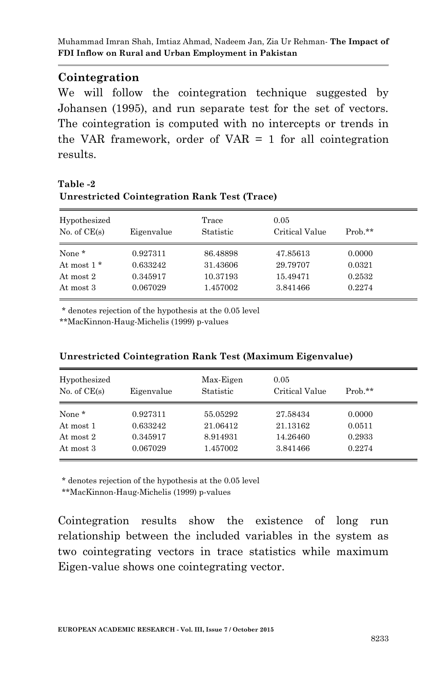## **Cointegration**

We will follow the cointegration technique suggested by Johansen (1995), and run separate test for the set of vectors. The cointegration is computed with no intercepts or trends in the VAR framework, order of VAR  $=$  1 for all cointegration results.

### **Table -2 Unrestricted Cointegration Rank Test (Trace)**

| Hypothesized<br>No. of $CE(s)$ | Eigenvalue           | Trace<br>Statistic   | 0.05<br>Critical Value | $Prob.**$        |
|--------------------------------|----------------------|----------------------|------------------------|------------------|
| None *                         | 0.927311             | 86.48898             | 47.85613               | 0.0000           |
| At most $1*$<br>At most 2      | 0.633242<br>0.345917 | 31.43606<br>10.37193 | 29.79707<br>15.49471   | 0.0321<br>0.2532 |
| At most 3                      | 0.067029             | 1.457002             | 3.841466               | 0.2274           |

\* denotes rejection of the hypothesis at the 0.05 level

\*\*MacKinnon-Haug-Michelis (1999) p-values

| Hypothesized<br>No. of $CE(s)$ | Eigenvalue | Max-Eigen<br>Statistic | 0.05<br>Critical Value | $Prob.**$ |
|--------------------------------|------------|------------------------|------------------------|-----------|
| None *                         | 0.927311   | 55.05292               | 27.58434               | 0.0000    |
| At most 1                      | 0.633242   | 21.06412               | 21.13162               | 0.0511    |
| At most 2                      | 0.345917   | 8.914931               | 14.26460               | 0.2933    |
| At most 3                      | 0.067029   | 1.457002               | 3.841466               | 0.2274    |

#### **Unrestricted Cointegration Rank Test (Maximum Eigenvalue)**

\* denotes rejection of the hypothesis at the 0.05 level

\*\*MacKinnon-Haug-Michelis (1999) p-values

Cointegration results show the existence of long run relationship between the included variables in the system as two cointegrating vectors in trace statistics while maximum Eigen-value shows one cointegrating vector.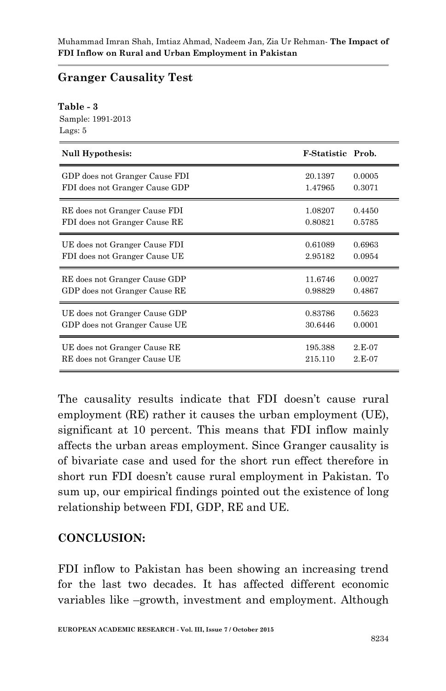# **Granger Causality Test**

#### **Table - 3**

Sample: 1991-2013 Lags: 5

| Null Hypothesis:               | <b>F-Statistic Prob.</b> |          |
|--------------------------------|--------------------------|----------|
| GDP does not Granger Cause FDI | 20.1397                  | 0.0005   |
| FDI does not Granger Cause GDP | 1.47965                  | 0.3071   |
| RE does not Granger Cause FDI  | 1.08207                  | 0.4450   |
| FDI does not Granger Cause RE  | 0.80821                  | 0.5785   |
| UE does not Granger Cause FDI  | 0.61089                  | 0.6963   |
| FDI does not Granger Cause UE  | 2.95182                  | 0.0954   |
| RE does not Granger Cause GDP  | 11.6746                  | 0.0027   |
| GDP does not Granger Cause RE  | 0.98829                  | 0.4867   |
| UE does not Granger Cause GDP  | 0.83786                  | 0.5623   |
| GDP does not Granger Cause UE  | 30.6446                  | 0.0001   |
| UE does not Granger Cause RE   | 195.388                  | $2.E-07$ |
| RE does not Granger Cause UE   | 215.110                  | $2.E-07$ |

The causality results indicate that FDI doesn't cause rural employment (RE) rather it causes the urban employment (UE), significant at 10 percent. This means that FDI inflow mainly affects the urban areas employment. Since Granger causality is of bivariate case and used for the short run effect therefore in short run FDI doesn't cause rural employment in Pakistan. To sum up, our empirical findings pointed out the existence of long relationship between FDI, GDP, RE and UE.

# **CONCLUSION:**

FDI inflow to Pakistan has been showing an increasing trend for the last two decades. It has affected different economic variables like –growth, investment and employment. Although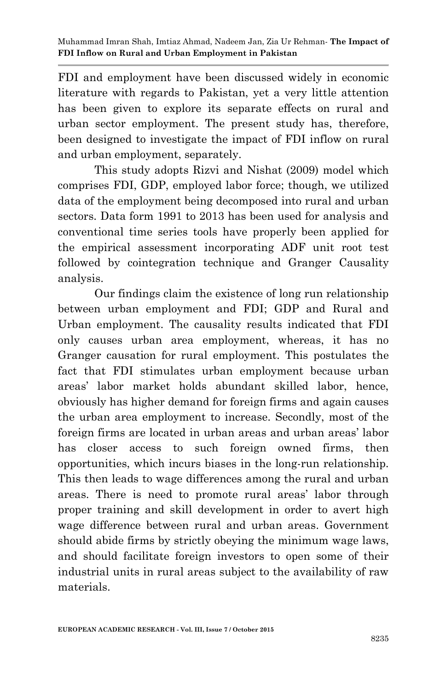FDI and employment have been discussed widely in economic literature with regards to Pakistan, yet a very little attention has been given to explore its separate effects on rural and urban sector employment. The present study has, therefore, been designed to investigate the impact of FDI inflow on rural and urban employment, separately.

This study adopts Rizvi and Nishat (2009) model which comprises FDI, GDP, employed labor force; though, we utilized data of the employment being decomposed into rural and urban sectors. Data form 1991 to 2013 has been used for analysis and conventional time series tools have properly been applied for the empirical assessment incorporating ADF unit root test followed by cointegration technique and Granger Causality analysis.

Our findings claim the existence of long run relationship between urban employment and FDI; GDP and Rural and Urban employment. The causality results indicated that FDI only causes urban area employment, whereas, it has no Granger causation for rural employment. This postulates the fact that FDI stimulates urban employment because urban areas' labor market holds abundant skilled labor, hence, obviously has higher demand for foreign firms and again causes the urban area employment to increase. Secondly, most of the foreign firms are located in urban areas and urban areas' labor has closer access to such foreign owned firms, then opportunities, which incurs biases in the long-run relationship. This then leads to wage differences among the rural and urban areas. There is need to promote rural areas' labor through proper training and skill development in order to avert high wage difference between rural and urban areas. Government should abide firms by strictly obeying the minimum wage laws, and should facilitate foreign investors to open some of their industrial units in rural areas subject to the availability of raw materials.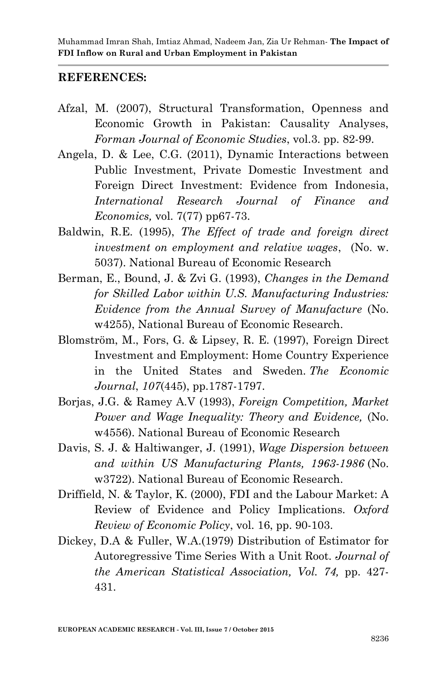### **REFERENCES:**

- Afzal, M. (2007), Structural Transformation, Openness and Economic Growth in Pakistan: Causality Analyses, *Forman Journal of Economic Studies*, vol.3. pp. 82-99.
- Angela, D. & Lee, C.G. (2011), Dynamic Interactions between Public Investment, Private Domestic Investment and Foreign Direct Investment: Evidence from Indonesia, *International Research Journal of Finance and Economics,* vol. 7(77) pp67-73.
- Baldwin, R.E. (1995), *The Effect of trade and foreign direct investment on employment and relative wages*, (No. w. 5037). National Bureau of Economic Research
- Berman, E., Bound, J. & Zvi G. (1993), *Changes in the Demand for Skilled Labor within U.S. Manufacturing Industries: Evidence from the Annual Survey of Manufacture* (No. w4255), National Bureau of Economic Research.
- Blomström, M., Fors, G. & Lipsey, R. E. (1997), Foreign Direct Investment and Employment: Home Country Experience in the United States and Sweden. *The Economic Journal*, *107*(445), pp.1787-1797.
- Borjas, J.G. & Ramey A.V (1993), *Foreign Competition, Market Power and Wage Inequality: Theory and Evidence,* (No. w4556). National Bureau of Economic Research
- Davis, S. J. & Haltiwanger, J. (1991), *Wage Dispersion between and within US Manufacturing Plants, 1963-1986* (No. w3722). National Bureau of Economic Research.
- Driffield, N. & Taylor, K. (2000), FDI and the Labour Market: A Review of Evidence and Policy Implications. *Oxford Review of Economic Policy*, vol. 16, pp. 90-103.
- Dickey, D.A & Fuller, W.A.(1979) Distribution of Estimator for Autoregressive Time Series With a Unit Root. *Journal of the American Statistical Association, Vol. 74,* pp. 427- 431.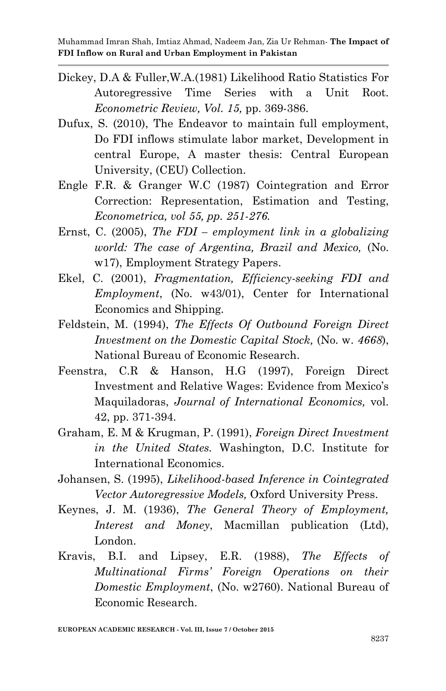- Dickey, D.A & Fuller,W.A.(1981) Likelihood Ratio Statistics For Autoregressive Time Series with a Unit Root. *Econometric Review, Vol. 15,* pp. 369-386.
- Dufux, S. (2010), The Endeavor to maintain full employment, Do FDI inflows stimulate labor market, Development in central Europe, A master thesis: Central European University, (CEU) Collection.
- Engle F.R. & Granger W.C (1987) Cointegration and Error Correction: Representation, Estimation and Testing, *Econometrica, vol 55, pp. 251-276.*
- Ernst, C. (2005), *The FDI – employment link in a globalizing world: The case of Argentina, Brazil and Mexico,* (No. w17), Employment Strategy Papers.
- Ekel, C. (2001), *Fragmentation, Efficiency-seeking FDI and Employment*, (No. w43/01), Center for International Economics and Shipping*.*
- Feldstein, M. (1994), *The Effects Of Outbound Foreign Direct Investment on the Domestic Capital Stock,* (No. w. *4668*), National Bureau of Economic Research.
- Feenstra, C.R & Hanson, H.G (1997), Foreign Direct Investment and Relative Wages: Evidence from Mexico's Maquiladoras, *Journal of International Economics,* vol. 42, pp. 371-394.
- Graham, E. M & Krugman, P. (1991), *Foreign Direct Investment in the United States.* Washington, D.C. Institute for International Economics.
- Johansen, S. (1995), *Likelihood-based Inference in Cointegrated Vector Autoregressive Models,* Oxford University Press.
- Keynes, J. M. (1936), *The General Theory of Employment, Interest and Money*, Macmillan publication (Ltd), London.
- Kravis, B.I. and Lipsey, E.R. (1988), *The Effects of Multinational Firms' Foreign Operations on their Domestic Employment*, (No. w2760). National Bureau of Economic Research.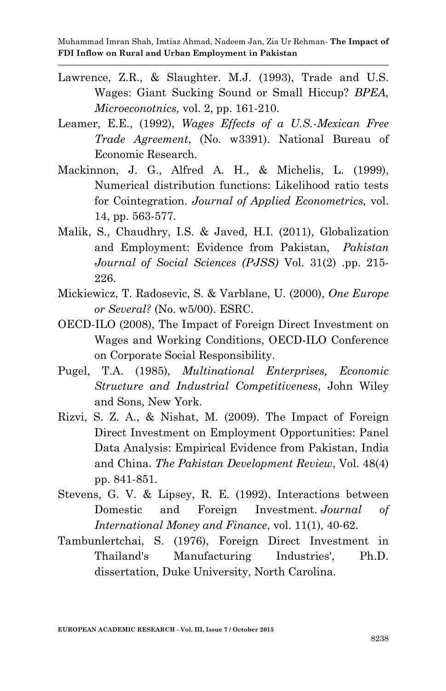- Lawrence, Z.R., & Slaughter. M.J. (1993), Trade and U.S. Wages: Giant Sucking Sound or Small Hiccup? *BPEA, Microeconotnics,* vol. 2, pp. 161-210.
- Leamer, E.E., (1992), *Wages Effects of a U.S.-Mexican Free Trade Agreement*, (No. w3391). National Bureau of Economic Research.
- Mackinnon, J. G., Alfred A. H., & Michelis, L. (1999), Numerical distribution functions: Likelihood ratio tests for Cointegration. *Journal of Applied Econometrics,* vol. 14, pp. 563-577.
- Malik, S., Chaudhry, I.S. & Javed, H.I. (2011), Globalization and Employment: Evidence from Pakistan, *Pakistan Journal of Social Sciences (PJSS)* Vol. 31(2) .pp. 215- 226.
- Mickiewicz, T. Radosevic, S. & Varblane, U. (2000), *One Europe or Several?* (No. w5/00). ESRC.
- OECD-ILO (2008), The Impact of Foreign Direct Investment on Wages and Working Conditions, OECD-ILO Conference on Corporate Social Responsibility.
- Pugel, T.A. (1985), *Multinational Enterprises, Economic Structure and Industrial Competitiveness*, John Wiley and Sons, New York.
- Rizvi, S. Z. A., & Nishat, M. (2009). The Impact of Foreign Direct Investment on Employment Opportunities: Panel Data Analysis: Empirical Evidence from Pakistan, India and China. *The Pakistan Development Review*, Vol. 48(4) pp. 841-851.
- Stevens, G. V. & Lipsey, R. E. (1992). Interactions between Domestic and Foreign Investment. *Journal of International Money and Finance*, vol. 11(1), 40-62.
- Tambunlertchai, S. (1976), Foreign Direct Investment in Thailand's Manufacturing Industries', Ph.D. dissertation, Duke University, North Carolina.